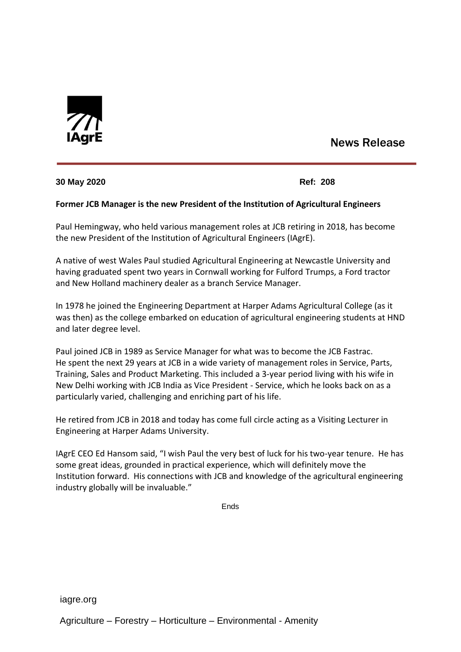

# News Release

### **30 May 2020 Ref: 208**

## **Former JCB Manager is the new President of the Institution of Agricultural Engineers**

Paul Hemingway, who held various management roles at JCB retiring in 2018, has become the new President of the Institution of Agricultural Engineers (IAgrE).

A native of west Wales Paul studied Agricultural Engineering at Newcastle University and having graduated spent two years in Cornwall working for Fulford Trumps, a Ford tractor and New Holland machinery dealer as a branch Service Manager.

In 1978 he joined the Engineering Department at Harper Adams Agricultural College (as it was then) as the college embarked on education of agricultural engineering students at HND and later degree level.

Paul joined JCB in 1989 as Service Manager for what was to become the JCB Fastrac. He spent the next 29 years at JCB in a wide variety of management roles in Service, Parts, Training, Sales and Product Marketing. This included a 3-year period living with his wife in New Delhi working with JCB India as Vice President - Service, which he looks back on as a particularly varied, challenging and enriching part of his life.

He retired from JCB in 2018 and today has come full circle acting as a Visiting Lecturer in Engineering at Harper Adams University.

IAgrE CEO Ed Hansom said, "I wish Paul the very best of luck for his two-year tenure. He has some great ideas, grounded in practical experience, which will definitely move the Institution forward. His connections with JCB and knowledge of the agricultural engineering industry globally will be invaluable."

Ends

iagre.org